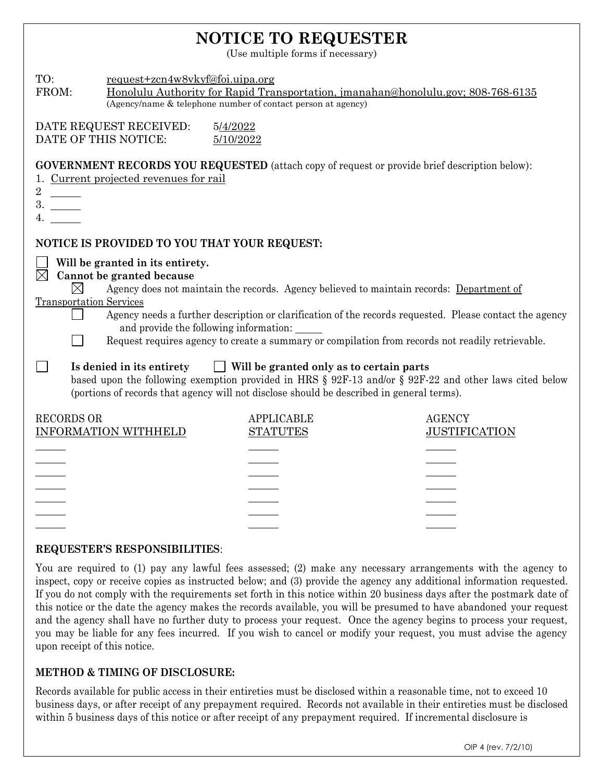## **NOTICE TO REQUESTER**

(Use multiple forms if necessary)

| TO:<br>FROM:                                                                                                                                                                                                                                                                 | request+zcn4w8vkyf@foi.uipa.org                                                                         | (Agency/name & telephone number of contact person at agency) | Honolulu Authority for Rapid Transportation, jmanahan@honolulu.gov; 808-768-6135                                                                                                                                                                                                                        |  |  |  |  |
|------------------------------------------------------------------------------------------------------------------------------------------------------------------------------------------------------------------------------------------------------------------------------|---------------------------------------------------------------------------------------------------------|--------------------------------------------------------------|---------------------------------------------------------------------------------------------------------------------------------------------------------------------------------------------------------------------------------------------------------------------------------------------------------|--|--|--|--|
| DATE OF THIS NOTICE:                                                                                                                                                                                                                                                         | DATE REQUEST RECEIVED:                                                                                  | 5/4/2022<br>5/10/2022                                        |                                                                                                                                                                                                                                                                                                         |  |  |  |  |
| $\overline{2}$<br>$\frac{1}{1}$<br>3.<br>4.                                                                                                                                                                                                                                  | 1. Current projected revenues for rail                                                                  |                                                              | <b>GOVERNMENT RECORDS YOU REQUESTED</b> (attach copy of request or provide brief description below):                                                                                                                                                                                                    |  |  |  |  |
|                                                                                                                                                                                                                                                                              |                                                                                                         | NOTICE IS PROVIDED TO YOU THAT YOUR REQUEST:                 |                                                                                                                                                                                                                                                                                                         |  |  |  |  |
| $\boxtimes$<br>$\times$<br><b>Transportation Services</b>                                                                                                                                                                                                                    | Will be granted in its entirety.<br>Cannot be granted because<br>and provide the following information: |                                                              | Agency does not maintain the records. Agency believed to maintain records: Department of<br>Agency needs a further description or clarification of the records requested. Please contact the agency<br>Request requires agency to create a summary or compilation from records not readily retrievable. |  |  |  |  |
| Will be granted only as to certain parts<br>Is denied in its entirety<br>based upon the following exemption provided in HRS § 92F-13 and/or § 92F-22 and other laws cited below<br>(portions of records that agency will not disclose should be described in general terms). |                                                                                                         |                                                              |                                                                                                                                                                                                                                                                                                         |  |  |  |  |
| <b>RECORDS OR</b>                                                                                                                                                                                                                                                            | <b>INFORMATION WITHHELD</b>                                                                             | <b>APPLICABLE</b><br><b>STATUTES</b>                         | <b>AGENCY</b><br><b>JUSTIFICATION</b>                                                                                                                                                                                                                                                                   |  |  |  |  |
|                                                                                                                                                                                                                                                                              |                                                                                                         |                                                              |                                                                                                                                                                                                                                                                                                         |  |  |  |  |
|                                                                                                                                                                                                                                                                              |                                                                                                         |                                                              |                                                                                                                                                                                                                                                                                                         |  |  |  |  |
|                                                                                                                                                                                                                                                                              |                                                                                                         |                                                              |                                                                                                                                                                                                                                                                                                         |  |  |  |  |

## **REQUESTER'S RESPONSIBILITIES**:

You are required to (1) pay any lawful fees assessed; (2) make any necessary arrangements with the agency to inspect, copy or receive copies as instructed below; and (3) provide the agency any additional information requested. If you do not comply with the requirements set forth in this notice within 20 business days after the postmark date of this notice or the date the agency makes the records available, you will be presumed to have abandoned your request and the agency shall have no further duty to process your request. Once the agency begins to process your request, you may be liable for any fees incurred. If you wish to cancel or modify your request, you must advise the agency upon receipt of this notice.

## **METHOD & TIMING OF DISCLOSURE:**

Records available for public access in their entireties must be disclosed within a reasonable time, not to exceed 10 business days, or after receipt of any prepayment required. Records not available in their entireties must be disclosed within 5 business days of this notice or after receipt of any prepayment required. If incremental disclosure is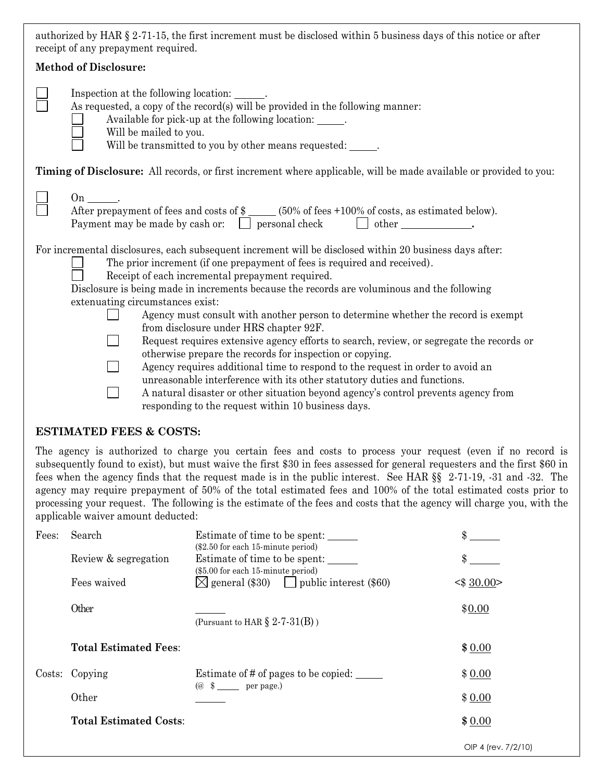| authorized by HAR § 2-71-15, the first increment must be disclosed within 5 business days of this notice or after |  |
|-------------------------------------------------------------------------------------------------------------------|--|
| receipt of any prepayment required.                                                                               |  |

| <b>Method of Disclosure:</b>                                                                                                                                                                                                                                                                                                                                                                                                                                                                                                                                                                                                                                                                                                                                                                                                                                                                                           |  |  |  |  |  |
|------------------------------------------------------------------------------------------------------------------------------------------------------------------------------------------------------------------------------------------------------------------------------------------------------------------------------------------------------------------------------------------------------------------------------------------------------------------------------------------------------------------------------------------------------------------------------------------------------------------------------------------------------------------------------------------------------------------------------------------------------------------------------------------------------------------------------------------------------------------------------------------------------------------------|--|--|--|--|--|
| Inspection at the following location: _______.<br>As requested, a copy of the record(s) will be provided in the following manner:<br>Available for pick-up at the following location: ______.<br>Will be mailed to you.<br>Will be transmitted to you by other means requested: ______.                                                                                                                                                                                                                                                                                                                                                                                                                                                                                                                                                                                                                                |  |  |  |  |  |
| Timing of Disclosure: All records, or first increment where applicable, will be made available or provided to you:                                                                                                                                                                                                                                                                                                                                                                                                                                                                                                                                                                                                                                                                                                                                                                                                     |  |  |  |  |  |
| $On \qquad .$<br>After prepayment of fees and costs of \$ _____ (50% of fees +100% of costs, as estimated below).<br>Payment may be made by cash or: $\Box$ personal check $\Box$ other $\Box$                                                                                                                                                                                                                                                                                                                                                                                                                                                                                                                                                                                                                                                                                                                         |  |  |  |  |  |
| For incremental disclosures, each subsequent increment will be disclosed within 20 business days after:<br>The prior increment (if one prepayment of fees is required and received).<br>Receipt of each incremental prepayment required.<br>Disclosure is being made in increments because the records are voluminous and the following<br>extenuating circumstances exist:<br>Agency must consult with another person to determine whether the record is exempt<br>from disclosure under HRS chapter 92F.<br>Request requires extensive agency efforts to search, review, or segregate the records or<br>otherwise prepare the records for inspection or copying.<br>Agency requires additional time to respond to the request in order to avoid an<br>unreasonable interference with its other statutory duties and functions.<br>A natural disaster or other situation beyond agency's control prevents agency from |  |  |  |  |  |

responding to the request within 10 business days.

## **ESTIMATED FEES & COSTS:**

The agency is authorized to charge you certain fees and costs to process your request (even if no record is subsequently found to exist), but must waive the first \$30 in fees assessed for general requesters and the first \$60 in fees when the agency finds that the request made is in the public interest. See HAR §§ 2-71-19, -31 and -32. The agency may require prepayment of 50% of the total estimated fees and 100% of the total estimated costs prior to processing your request. The following is the estimate of the fees and costs that the agency will charge you, with the applicable waiver amount deducted:

| Fees: | Search                        | Estimate of time to be spent:<br>(\$2.50 for each 15-minute period)                               | \$                  |
|-------|-------------------------------|---------------------------------------------------------------------------------------------------|---------------------|
|       | Review & segregation          | Estimate of time to be spent:<br>(\$5.00 for each 15-minute period)                               | \$                  |
|       | Fees waived                   | $\boxtimes$ general (\$30) $\Box$ public interest (\$60)                                          | $\leq$ 30.00 >      |
|       | Other                         | (Pursuant to HAR $\S$ 2-7-31(B))                                                                  | \$0.00              |
|       | <b>Total Estimated Fees:</b>  |                                                                                                   | \$0.00              |
|       | Costs: Copying                | Estimate of # of pages to be copied:<br>$\left(\emptyset \ \ \ \$\ \_\_\ \text{per page.}\right)$ | \$0.00              |
|       | Other                         |                                                                                                   | \$0.00              |
|       | <b>Total Estimated Costs:</b> |                                                                                                   | \$0.00              |
|       |                               |                                                                                                   | OIP 4 (rev. 7/2/10) |